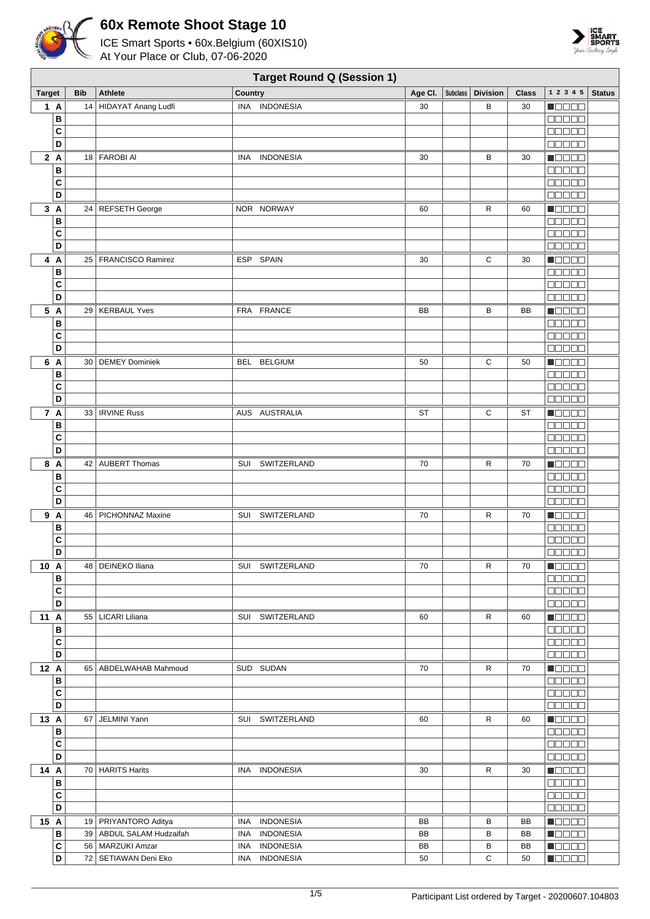



|               |              |            |                          |            | <b>Target Round Q (Session 1)</b> |         |          |                 |       |                                                   |               |
|---------------|--------------|------------|--------------------------|------------|-----------------------------------|---------|----------|-----------------|-------|---------------------------------------------------|---------------|
| <b>Target</b> |              | <b>Bib</b> | <b>Athlete</b>           | Country    |                                   | Age Cl. | Subclass | <b>Division</b> | Class | $1\ 2\ 3\ 4\ 5$                                   | <b>Status</b> |
| 1A            |              | 14         | HIDAYAT Anang Ludfi      |            | INA INDONESIA                     | 30      |          | В               | 30    | n da da                                           |               |
|               | В            |            |                          |            |                                   |         |          |                 |       | a da da                                           |               |
|               | C            |            |                          |            |                                   |         |          |                 |       | eenaa                                             |               |
|               | D            |            |                          |            |                                   |         |          |                 |       | $\Box \Box \Box \Box \Box$                        |               |
| 2A            |              |            | 18   FAROBI AI           | <b>INA</b> | <b>INDONESIA</b>                  | 30      |          | в               | 30    | <b>Maaaa</b>                                      |               |
|               | В            |            |                          |            |                                   |         |          |                 |       | 00000                                             |               |
|               | C            |            |                          |            |                                   |         |          |                 |       | 00000                                             |               |
|               | D            |            |                          |            |                                   |         |          |                 |       | <b>00000</b>                                      |               |
| 3A            |              |            | 24 REFSETH George        |            | NOR NORWAY                        | 60      |          | R               | 60    | Maaaa                                             |               |
|               | В            |            |                          |            |                                   |         |          |                 |       | <b>BEBEE</b>                                      |               |
|               | C            |            |                          |            |                                   |         |          |                 |       | 00000                                             |               |
|               | D            |            |                          |            |                                   |         |          |                 |       | <b>BBBBB</b>                                      |               |
|               |              |            |                          |            |                                   |         |          |                 |       |                                                   |               |
| 4 A           |              |            | 25   FRANCISCO Ramirez   |            | ESP SPAIN                         | 30      |          | С               | 30    | <b>MOOOO</b>                                      |               |
|               | в            |            |                          |            |                                   |         |          |                 |       | <b>BBBBB</b>                                      |               |
|               | C            |            |                          |            |                                   |         |          |                 |       | 00000                                             |               |
|               | D            |            |                          |            |                                   |         |          |                 |       | 00000                                             |               |
| 5 A           |              |            | 29   KERBAUL Yves        |            | FRA FRANCE                        | BB      |          | В               | BB    | $\blacksquare$                                    |               |
|               | В            |            |                          |            |                                   |         |          |                 |       | <b>00000</b>                                      |               |
|               | C            |            |                          |            |                                   |         |          |                 |       | 00000                                             |               |
|               | D            |            |                          |            |                                   |         |          |                 |       | $\Box$ $\Box$ $\Box$ $\Box$ $\Box$                |               |
| 6 A           |              |            | 30   DEMEY Dominiek      |            | BEL BELGIUM                       | 50      |          | С               | 50    | $\blacksquare$                                    |               |
|               | В            |            |                          |            |                                   |         |          |                 |       | <b>BOOOO</b>                                      |               |
|               | C            |            |                          |            |                                   |         |          |                 |       | <b>BBBBB</b>                                      |               |
|               | D            |            |                          |            |                                   |         |          |                 |       | <b>00000</b>                                      |               |
| 7 A           |              |            | 33   IRVINE Russ         |            | AUS AUSTRALIA                     | ST      |          | С               | ST    | <b>Maaaa</b>                                      |               |
|               | В            |            |                          |            |                                   |         |          |                 |       | 00000                                             |               |
|               | C            |            |                          |            |                                   |         |          |                 |       | $\Box$ $\Box$ $\Box$ $\Box$ $\Box$                |               |
|               | D            |            |                          |            |                                   |         |          |                 |       | $\Box \Box \Box \Box \Box$                        |               |
| 8 A           |              |            | 42 AUBERT Thomas         | SUI        | SWITZERLAND                       | 70      |          | R               | 70    | Maaaa                                             |               |
|               | В            |            |                          |            |                                   |         |          |                 |       | <b>00000</b>                                      |               |
|               | C            |            |                          |            |                                   |         |          |                 |       | $\Box$ $\Box$ $\Box$ $\Box$ $\Box$                |               |
|               | D            |            |                          |            |                                   |         |          |                 |       | 00000                                             |               |
| 9 A           |              |            | 46   PICHONNAZ Maxine    |            | SUI SWITZERLAND                   | 70      |          | R               | 70    | <b>Nacao</b>                                      |               |
|               | В            |            |                          |            |                                   |         |          |                 |       | <b>00000</b>                                      |               |
|               | C            |            |                          |            |                                   |         |          |                 |       | 00000                                             |               |
|               | D            |            |                          |            |                                   |         |          |                 |       | <b>00000</b>                                      |               |
| 10 A          |              |            | 48   DEINEKO Iliana      |            | SUI SWITZERLAND                   | 70      |          | R               | 70    | <u> Nasar</u>                                     |               |
|               | в            |            |                          |            |                                   |         |          |                 |       | <b>00000</b>                                      |               |
|               | С            |            |                          |            |                                   |         |          |                 |       | <b>00000</b>                                      |               |
|               | D            |            |                          |            |                                   |         |          |                 |       | <b>00000</b>                                      |               |
| 11 A          |              |            | 55   LICARI Liliana      |            | SUI SWITZERLAND                   | 60      |          | R               | 60    | $\blacksquare$ $\square$ $\square$ $\square$      |               |
|               | в            |            |                          |            |                                   |         |          |                 |       | 00000                                             |               |
|               | C            |            |                          |            |                                   |         |          |                 |       | <b>00000</b>                                      |               |
|               | D            |            |                          |            |                                   |         |          |                 |       | 00000                                             |               |
| 12 A          |              |            | 65   ABDELWAHAB Mahmoud  |            | SUD SUDAN                         | 70      |          | R               | 70    | Maaaa                                             |               |
|               | В            |            |                          |            |                                   |         |          |                 |       | 00000                                             |               |
|               | C            |            |                          |            |                                   |         |          |                 |       | 00000                                             |               |
|               | D            |            |                          |            |                                   |         |          |                 |       | 00000                                             |               |
| 13 A          |              |            | 67   JELMINI Yann        |            | SUI SWITZERLAND                   | 60      |          | $\mathsf{R}$    | 60    | $\blacksquare$ $\square$ $\square$ $\square$      |               |
|               | В            |            |                          |            |                                   |         |          |                 |       | 00000                                             |               |
|               | C            |            |                          |            |                                   |         |          |                 |       | <b>00000</b>                                      |               |
|               | D            |            |                          |            |                                   |         |          |                 |       | 00000                                             |               |
| 14 A          |              |            | 70 HARITS Harits         |            | INA INDONESIA                     | 30      |          | R               | 30    | $\blacksquare$ $\square$ $\square$ $\blacksquare$ |               |
|               | в            |            |                          |            |                                   |         |          |                 |       | 00000                                             |               |
|               | C            |            |                          |            |                                   |         |          |                 |       | 00000                                             |               |
|               | D            |            |                          |            |                                   |         |          |                 |       | 00000                                             |               |
|               |              |            |                          |            |                                   |         |          |                 |       |                                                   |               |
| 15 A          |              |            | 19   PRIYANTORO Aditya   | INA        | <b>INDONESIA</b>                  | BB      |          | В               | BB    | $\blacksquare$                                    |               |
|               | в            |            | 39 ABDUL SALAM Hudzaifah | INA        | <b>INDONESIA</b>                  | BB      |          | в               | BB    | HOOOO                                             |               |
|               | $\mathbf{C}$ |            | 56   MARZUKI Amzar       |            | INA INDONESIA                     | BB      |          | В               | BB    | <b>Macao</b>                                      |               |
|               | D            |            | 72   SETIAWAN Deni Eko   |            | INA INDONESIA                     | 50      |          | C               | 50    | MOZE 8                                            |               |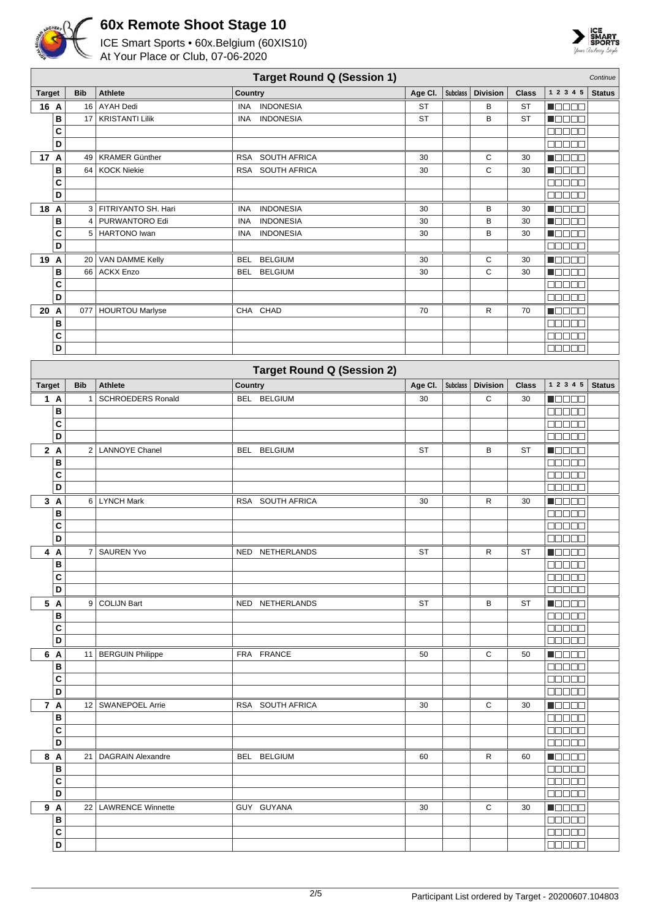



|               | <b>Target Round Q (Session 1)</b><br>Continue |            |                          |                                   |           |                 |                 |              |                                    |               |  |  |
|---------------|-----------------------------------------------|------------|--------------------------|-----------------------------------|-----------|-----------------|-----------------|--------------|------------------------------------|---------------|--|--|
| <b>Target</b> |                                               | <b>Bib</b> | <b>Athlete</b>           | Country                           | Age Cl.   | <b>Subclass</b> | <b>Division</b> | <b>Class</b> | 1 2 3 4 5                          | <b>Status</b> |  |  |
| 16 A          |                                               |            | 16 AYAH Dedi             | <b>INDONESIA</b><br>INA           | <b>ST</b> |                 | В               | ST           | N DE SE                            |               |  |  |
|               | В                                             | 17         | <b>KRISTANTI Lilik</b>   | <b>INDONESIA</b><br>INA           | <b>ST</b> |                 | B               | ST           | <b>M</b> OOOO                      |               |  |  |
|               | C                                             |            |                          |                                   |           |                 |                 |              | Maaaa                              |               |  |  |
|               | D                                             |            |                          |                                   |           |                 |                 |              | <b>00000</b>                       |               |  |  |
| 17 A          |                                               |            | 49   KRAMER Günther      | RSA SOUTH AFRICA                  | 30        |                 | С               | 30           | Maaaa                              |               |  |  |
|               | В                                             |            | 64 KOCK Niekie           | SOUTH AFRICA<br><b>RSA</b>        | 30        |                 | $\mathsf{C}$    | 30           | <b>MODER</b>                       |               |  |  |
|               | C                                             |            |                          |                                   |           |                 |                 |              | <b>00000</b>                       |               |  |  |
|               | D                                             |            |                          |                                   |           |                 |                 |              | <b>BEEBE</b>                       |               |  |  |
| 18 A          |                                               |            | 3   FITRIYANTO SH. Hari  | <b>INDONESIA</b><br><b>INA</b>    | 30        |                 | В               | 30           | n de ee                            |               |  |  |
|               | B                                             |            | 4   PURWANTORO Edi       | <b>INDONESIA</b><br><b>INA</b>    | 30        |                 | B               | 30           | Maaaa                              |               |  |  |
|               | C                                             |            | 5 HARTONO Iwan           | <b>INDONESIA</b><br>INA           | 30        |                 | В               | 30           | n do e d                           |               |  |  |
|               | D                                             |            |                          |                                   |           |                 |                 |              | <b>00000</b>                       |               |  |  |
| 19 A          |                                               |            | 20   VAN DAMME Kelly     | <b>BELGIUM</b><br><b>BEL</b>      | 30        |                 | С               | 30           | <b>MOBEL</b>                       |               |  |  |
|               | B                                             |            | 66 ACKX Enzo             | <b>BELGIUM</b><br><b>BEL</b>      | 30        |                 | C               | 30           | Maaaa                              |               |  |  |
|               | C                                             |            |                          |                                   |           |                 |                 |              | $\Box$ $\Box$ $\Box$ $\Box$ $\Box$ |               |  |  |
|               | D                                             |            |                          |                                   |           |                 |                 |              | 00000                              |               |  |  |
| 20            | $\overline{A}$                                |            | 077   HOURTOU Marlyse    | CHA CHAD                          | 70        |                 | R               | 70           | <b>N</b> OOOO                      |               |  |  |
|               | В                                             |            |                          |                                   |           |                 |                 |              | <b>00000</b>                       |               |  |  |
|               | C                                             |            |                          |                                   |           |                 |                 |              | <b>BBBBB</b>                       |               |  |  |
|               | D                                             |            |                          |                                   |           |                 |                 |              |                                    |               |  |  |
|               |                                               |            |                          | <b>Target Round Q (Session 2)</b> |           |                 |                 |              |                                    |               |  |  |
| <b>Target</b> |                                               | <b>Bib</b> | <b>Athlete</b>           | Country                           | Age Cl.   | <b>Subclass</b> | <b>Division</b> | <b>Class</b> | 1 2 3 4 5                          | <b>Status</b> |  |  |
|               | 1A                                            | $1 \mid$   | <b>SCHROEDERS Ronald</b> | <b>BELGIUM</b><br>BEL             | 30        |                 | C               | 30           | MOOO O                             |               |  |  |
|               | B                                             |            |                          |                                   |           |                 |                 |              | <b>NNO 00</b>                      |               |  |  |
|               | C                                             |            |                          |                                   |           |                 |                 |              | 00000                              |               |  |  |
|               | D                                             |            |                          |                                   |           |                 |                 |              | <b>00000</b>                       |               |  |  |
|               | 2A                                            |            | 2 LANNOYE Chanel         | <b>BELGIUM</b><br><b>BEL</b>      | <b>ST</b> |                 | B               | <b>ST</b>    | <u>maaaa</u>                       |               |  |  |
|               | B                                             |            |                          |                                   |           |                 |                 |              | <b>MONDO</b>                       |               |  |  |
|               | C                                             |            |                          |                                   |           |                 |                 |              | $\Box$ $\Box$ $\Box$ $\Box$        |               |  |  |
|               | D                                             |            |                          |                                   |           |                 |                 |              | 00000                              |               |  |  |
|               | 3A                                            |            | 6 LYNCH Mark             | RSA SOUTH AFRICA                  | 30        |                 | R               | 30           | <b>Reces</b>                       |               |  |  |
|               | В                                             |            |                          |                                   |           |                 |                 |              | <b>BBBBB</b>                       |               |  |  |
|               | C                                             |            |                          |                                   |           |                 |                 |              | <b>COOCO</b>                       |               |  |  |
|               | D                                             |            |                          |                                   |           |                 |                 |              | 00000                              |               |  |  |
|               | 4 A                                           |            | 7 SAUREN Yvo             | NED NETHERLANDS                   | <b>ST</b> |                 | R               | ST           | $\blacksquare$                     |               |  |  |
|               | В                                             |            |                          |                                   |           |                 |                 |              | <b>00000</b>                       |               |  |  |
|               | C                                             |            |                          |                                   |           |                 |                 |              | <u> E E E E E</u>                  |               |  |  |
|               | D                                             |            |                          |                                   |           |                 |                 |              | 00000                              |               |  |  |
|               | 5 A                                           |            | 9 COLIJN Bart            | NED NETHERLANDS                   | ST        |                 | В               | ST           | Macao                              |               |  |  |
|               | B                                             |            |                          |                                   |           |                 |                 |              | <b>OBBOD</b>                       |               |  |  |
|               | C                                             |            |                          |                                   |           |                 |                 |              | 00000                              |               |  |  |
|               | D                                             |            |                          |                                   |           |                 |                 |              |                                    |               |  |  |
|               | 6 A                                           |            | 11   BERGUIN Philippe    | FRA FRANCE                        | 50        |                 | С               | 50           | <b>Reces</b>                       |               |  |  |
|               | В                                             |            |                          |                                   |           |                 |                 |              | <b>BEBEE</b>                       |               |  |  |
|               | C                                             |            |                          |                                   |           |                 |                 |              | <b>BBBBB</b>                       |               |  |  |
|               | D                                             |            |                          |                                   |           |                 |                 |              | $\Box$                             |               |  |  |
|               | 7 A                                           |            | 12   SWANEPOEL Arrie     | RSA SOUTH AFRICA                  | 30        |                 | C               | 30           | <b>HOOOO</b>                       |               |  |  |
|               | B                                             |            |                          |                                   |           |                 |                 |              | <b>BEEBE</b>                       |               |  |  |
|               | C                                             |            |                          |                                   |           |                 |                 |              | 88888                              |               |  |  |
|               | D                                             |            |                          |                                   |           |                 |                 |              | 00000                              |               |  |  |
|               | 8 A                                           |            | 21 DAGRAIN Alexandre     | BEL BELGIUM                       | 60        |                 | R               | 60           | <b>Macao</b>                       |               |  |  |
|               | В                                             |            |                          |                                   |           |                 |                 |              | $\Box$                             |               |  |  |
|               | C                                             |            |                          |                                   |           |                 |                 |              | 00000                              |               |  |  |
|               | D                                             |            |                          |                                   |           |                 |                 |              | <b>BEBBE</b>                       |               |  |  |
|               | 9 A                                           |            | 22   LAWRENCE Winnette   | GUY GUYANA                        | 30        |                 | С               | 30           | <b>N</b> OOOO                      |               |  |  |
|               | В                                             |            |                          |                                   |           |                 |                 |              | <b>00000</b>                       |               |  |  |
|               | C                                             |            |                          |                                   |           |                 |                 |              | 00000                              |               |  |  |
|               | D                                             |            |                          |                                   |           |                 |                 |              | <b>BEBEE</b>                       |               |  |  |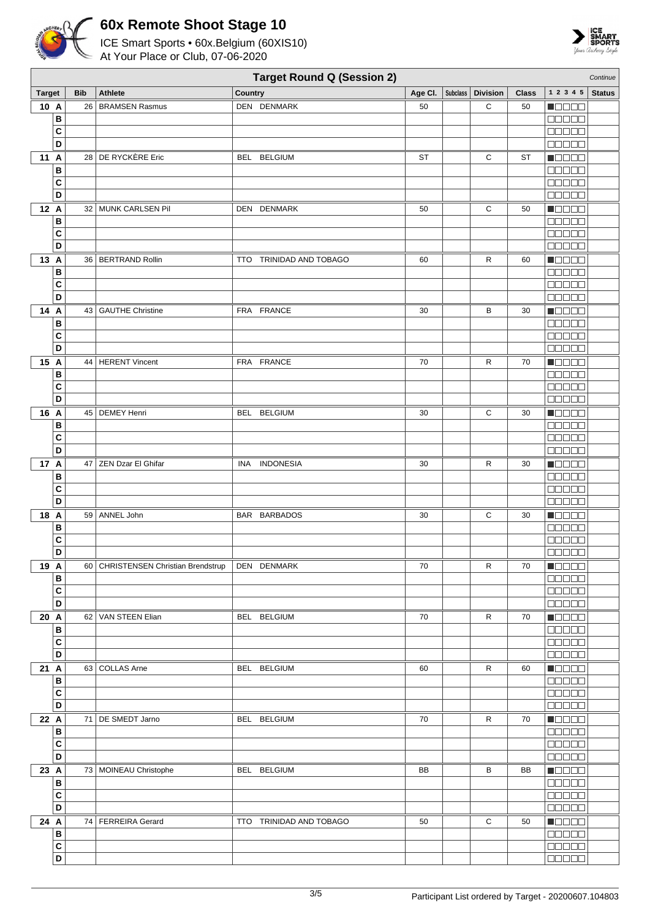



|                   | <b>Target Round Q (Session 2)</b><br>Continue |                                     |                                |         |  |                     |              |                                                   |               |  |  |
|-------------------|-----------------------------------------------|-------------------------------------|--------------------------------|---------|--|---------------------|--------------|---------------------------------------------------|---------------|--|--|
| <b>Target</b>     | <b>Bib</b>                                    | <b>Athlete</b>                      | Country                        | Age CI. |  | Subclass   Division | <b>Class</b> | 1 2 3 4 5                                         | <b>Status</b> |  |  |
| 10 A              |                                               | 26   BRAMSEN Rasmus                 | DEN DENMARK                    | 50      |  | C                   | 50           | N E E E E                                         |               |  |  |
| B                 |                                               |                                     |                                |         |  |                     |              | 00000                                             |               |  |  |
| C                 |                                               |                                     |                                |         |  |                     |              | 88888                                             |               |  |  |
| D                 |                                               |                                     |                                |         |  |                     |              | Maaaa                                             |               |  |  |
| 11 A<br>B         |                                               | 28 DE RYCKÈRE Eric                  | BEL BELGIUM                    | ST      |  | $\mathbf C$         | ST           | Maaaa<br>00000                                    |               |  |  |
| C                 |                                               |                                     |                                |         |  |                     |              | 80000                                             |               |  |  |
| D                 |                                               |                                     |                                |         |  |                     |              | Maaaa                                             |               |  |  |
| 12 A              |                                               | 32 MUNK CARLSEN Pil                 | DEN DENMARK                    | 50      |  | С                   | 50           | <b>Maaaa</b>                                      |               |  |  |
| B                 |                                               |                                     |                                |         |  |                     |              | <b>MARGE</b>                                      |               |  |  |
| $\mathbf{C}$      |                                               |                                     |                                |         |  |                     |              | an de L                                           |               |  |  |
| D                 |                                               |                                     |                                |         |  |                     |              | aasaa                                             |               |  |  |
| 13 A              |                                               | 36   BERTRAND Rollin                | TTO TRINIDAD AND TOBAGO        | 60      |  | $\mathsf{R}$        | 60           | <b>M</b> OOOQ                                     |               |  |  |
| B<br>C            |                                               |                                     |                                |         |  |                     |              | noooo<br><b>00000</b>                             |               |  |  |
| D                 |                                               |                                     |                                |         |  |                     |              | 88888                                             |               |  |  |
| 14 A              |                                               | 43   GAUTHE Christine               | FRA FRANCE                     | 30      |  | в                   | 30           | <b>M</b> OOOO                                     |               |  |  |
| B                 |                                               |                                     |                                |         |  |                     |              | 00000                                             |               |  |  |
| C                 |                                               |                                     |                                |         |  |                     |              | <b>BBBBB</b>                                      |               |  |  |
| D                 |                                               |                                     |                                |         |  |                     |              | <b>00000</b>                                      |               |  |  |
| 15 A              |                                               | 44   HERENT Vincent                 | FRA FRANCE                     | 70      |  | R                   | 70           | N BE E B                                          |               |  |  |
| B                 |                                               |                                     |                                |         |  |                     |              | <b>NULLE</b>                                      |               |  |  |
| C<br>D            |                                               |                                     |                                |         |  |                     |              | 88888<br><b>00000</b>                             |               |  |  |
| 16 A              |                                               | 45   DEMEY Henri                    | BEL BELGIUM                    | 30      |  | С                   | 30           | N BE E B                                          |               |  |  |
| В                 |                                               |                                     |                                |         |  |                     |              | 00000                                             |               |  |  |
| C                 |                                               |                                     |                                |         |  |                     |              | 00000                                             |               |  |  |
| D                 |                                               |                                     |                                |         |  |                     |              | 88888                                             |               |  |  |
| 17 A              |                                               | 47   ZEN Dzar El Ghifar             | <b>INA</b><br><b>INDONESIA</b> | 30      |  | R                   | 30           | Maaaa                                             |               |  |  |
| B                 |                                               |                                     |                                |         |  |                     |              | 88888                                             |               |  |  |
| C<br>D            |                                               |                                     |                                |         |  |                     |              | <b>REBEE</b>                                      |               |  |  |
| 18 A              |                                               | 59 ANNEL John                       | BAR BARBADOS                   | 30      |  | С                   | 30           | <b>00000</b><br>n de de                           |               |  |  |
| B                 |                                               |                                     |                                |         |  |                     |              | <b>BBBBB</b>                                      |               |  |  |
| C                 |                                               |                                     |                                |         |  |                     |              | 88888                                             |               |  |  |
| D                 |                                               |                                     |                                |         |  |                     |              | 00000                                             |               |  |  |
| 19 A              |                                               | 60 CHRISTENSEN Christian Brendstrup | DEN DENMARK                    | 70      |  | R                   | 70           | $\blacksquare$ $\square$ $\square$ $\blacksquare$ |               |  |  |
| B                 |                                               |                                     |                                |         |  |                     |              | 00000                                             |               |  |  |
| $\mathbf{C}$<br>D |                                               |                                     |                                |         |  |                     |              | 00000                                             |               |  |  |
|                   |                                               | 62 VAN STEEN Elian                  | BEL BELGIUM                    | 70      |  | R                   | 70           | 00000<br><b>Nacion</b>                            |               |  |  |
| 20 A<br>B         |                                               |                                     |                                |         |  |                     |              | 00000                                             |               |  |  |
| C                 |                                               |                                     |                                |         |  |                     |              | <b>00000</b>                                      |               |  |  |
| D                 |                                               |                                     |                                |         |  |                     |              | 00000                                             |               |  |  |
| 21 A              |                                               | 63 COLLAS Arne                      | BEL BELGIUM                    | 60      |  | R                   | 60           | <b>H</b> oodo                                     |               |  |  |
| B                 |                                               |                                     |                                |         |  |                     |              | 00000                                             |               |  |  |
| $\mathbf{C}$<br>D |                                               |                                     |                                |         |  |                     |              | 88888                                             |               |  |  |
| 22 A              |                                               |                                     |                                |         |  |                     |              | 00000                                             |               |  |  |
| B                 |                                               | 71   DE SMEDT Jarno                 | BEL BELGIUM                    | 70      |  | R                   | 70           | <b>Maaaa</b><br>88888                             |               |  |  |
| $\mathbf{C}$      |                                               |                                     |                                |         |  |                     |              | <b>00000</b>                                      |               |  |  |
| D                 |                                               |                                     |                                |         |  |                     |              | 00000                                             |               |  |  |
| 23 A              |                                               | 73   MOINEAU Christophe             | BEL BELGIUM                    | BB      |  | в                   | BB           | $\blacksquare$ $\square$ $\square$ $\square$      |               |  |  |
| B                 |                                               |                                     |                                |         |  |                     |              | <b>00000</b>                                      |               |  |  |
| $\mathbf{C}$      |                                               |                                     |                                |         |  |                     |              | <b>00000</b>                                      |               |  |  |
| D                 |                                               |                                     |                                |         |  |                     |              | <b>00000</b>                                      |               |  |  |
| 24 A<br>B         |                                               | 74   FERREIRA Gerard                | TTO TRINIDAD AND TOBAGO        | 50      |  | С                   | 50           | <b>Manag</b><br>00000                             |               |  |  |
| $\mathbf{C}$      |                                               |                                     |                                |         |  |                     |              | <b>COOOO</b>                                      |               |  |  |
| D                 |                                               |                                     |                                |         |  |                     |              | 88888                                             |               |  |  |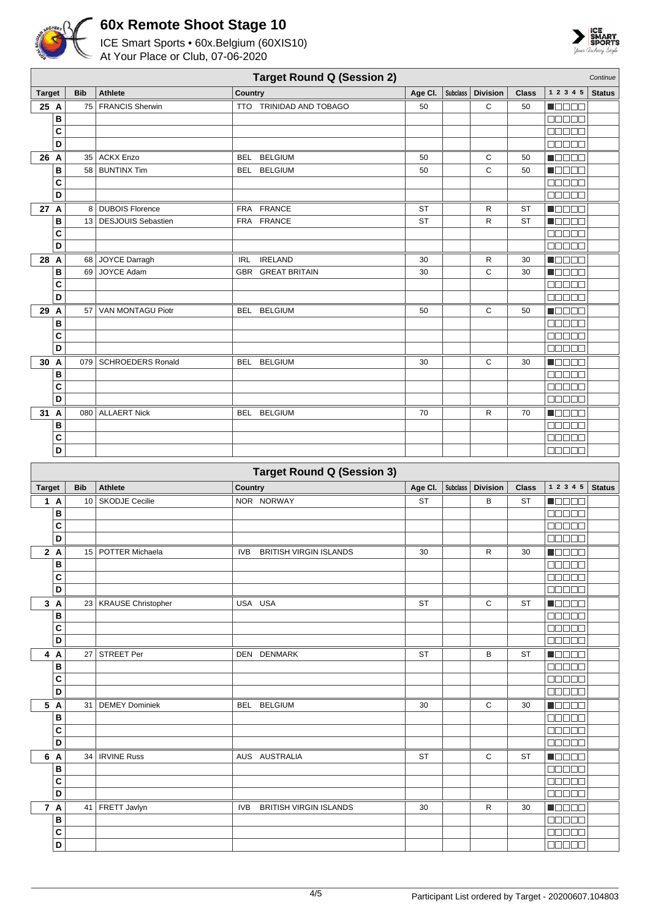



|                                | <b>Target Round Q (Session 2)</b><br>Continue |                         |                                      |           |                 |                 |              |                                              |               |  |  |  |
|--------------------------------|-----------------------------------------------|-------------------------|--------------------------------------|-----------|-----------------|-----------------|--------------|----------------------------------------------|---------------|--|--|--|
| <b>Target</b>                  | <b>Bib</b>                                    | <b>Athlete</b>          | Country                              | Age CI.   | Subclass        | <b>Division</b> | <b>Class</b> | 1 2 3 4 5                                    | <b>Status</b> |  |  |  |
| 25 A                           | 75                                            | <b>FRANCIS Sherwin</b>  | TTO TRINIDAD AND TOBAGO              | 50        |                 | С               | 50           | N O D O O                                    |               |  |  |  |
| B                              |                                               |                         |                                      |           |                 |                 |              | 00000                                        |               |  |  |  |
| C                              |                                               |                         |                                      |           |                 |                 |              | <b>BEEBE</b>                                 |               |  |  |  |
| D                              |                                               |                         |                                      |           |                 |                 |              | <b>BBBBB</b>                                 |               |  |  |  |
| 26 A                           |                                               | 35 ACKX Enzo            | <b>BELGIUM</b><br><b>BEL</b>         | 50        |                 | С               | 50           | <b>REGEE</b>                                 |               |  |  |  |
| B<br>C                         |                                               | 58 BUNTINX Tim          | <b>BELGIUM</b><br>BEL                | 50        |                 | C               | 50           | <b>HELED</b><br><b>BBBBB</b>                 |               |  |  |  |
| D                              |                                               |                         |                                      |           |                 |                 |              | <b>BBBBB</b>                                 |               |  |  |  |
| 27 A                           |                                               | 8 DUBOIS Florence       | FRA FRANCE                           | <b>ST</b> |                 | R               | <b>ST</b>    | <b>NOBED</b>                                 |               |  |  |  |
| B                              |                                               | 13   DESJOUIS Sebastien | FRA FRANCE                           | ST        |                 | R               | <b>ST</b>    | <b>NOBED</b>                                 |               |  |  |  |
| C                              |                                               |                         |                                      |           |                 |                 |              | 00000                                        |               |  |  |  |
| D                              |                                               |                         |                                      |           |                 |                 |              | 00000                                        |               |  |  |  |
| 28 A                           |                                               | 68 JOYCE Darragh        | <b>IRELAND</b><br><b>IRL</b>         | 30        |                 | R               | 30           | <b>Reces</b>                                 |               |  |  |  |
| B                              |                                               | 69 JOYCE Adam           | <b>GBR GREAT BRITAIN</b>             | 30        |                 | C               | 30           | <u>maaaa</u>                                 |               |  |  |  |
| C                              |                                               |                         |                                      |           |                 |                 |              | <b>BEBEE</b>                                 |               |  |  |  |
| D                              |                                               |                         |                                      |           |                 |                 |              | <b>00000</b>                                 |               |  |  |  |
| 29 A                           |                                               | 57   VAN MONTAGU Piotr  | <b>BELGIUM</b><br>BEL                | 50        |                 | C               | 50           | <b>N</b> OOOO                                |               |  |  |  |
| B                              |                                               |                         |                                      |           |                 |                 |              | 00000                                        |               |  |  |  |
| $\mathbf{C}$                   |                                               |                         |                                      |           |                 |                 |              | 00000                                        |               |  |  |  |
| D                              |                                               |                         |                                      |           |                 |                 |              | <b>00000</b>                                 |               |  |  |  |
| 30 A                           |                                               | 079   SCHROEDERS Ronald | BEL BELGIUM                          | 30        |                 | C               | 30           | <b>R</b> ooco                                |               |  |  |  |
| B                              |                                               |                         |                                      |           |                 |                 |              | 00000                                        |               |  |  |  |
| C<br>D                         |                                               |                         |                                      |           |                 |                 |              | 00000<br>00000                               |               |  |  |  |
|                                |                                               | 080 ALLAERT Nick        |                                      |           |                 |                 |              |                                              |               |  |  |  |
| 31 A<br>B                      |                                               |                         | <b>BELGIUM</b><br>BEL                | 70        |                 | R               | 70           | MOOO O<br><b>BBBBB</b>                       |               |  |  |  |
| C                              |                                               |                         |                                      |           |                 |                 |              | 00000                                        |               |  |  |  |
| D                              |                                               |                         |                                      |           |                 |                 |              | <b>ROBO B</b>                                |               |  |  |  |
|                                |                                               |                         |                                      |           |                 |                 |              |                                              |               |  |  |  |
|                                |                                               |                         |                                      |           |                 |                 |              |                                              |               |  |  |  |
|                                |                                               |                         | <b>Target Round Q (Session 3)</b>    |           |                 |                 |              |                                              |               |  |  |  |
| <b>Target</b>                  | <b>Bib</b>                                    | Athlete                 | Country                              | Age Cl.   | <b>Subclass</b> | <b>Division</b> | <b>Class</b> | 1 2 3 4 5                                    | <b>Status</b> |  |  |  |
| 1A                             |                                               | 10 SKODJE Cecilie       | NOR NORWAY                           | ST        |                 | В               | ST           | N DE E E                                     |               |  |  |  |
| B                              |                                               |                         |                                      |           |                 |                 |              | 00000                                        |               |  |  |  |
| C                              |                                               |                         |                                      |           |                 |                 |              | <b>BBBBB</b>                                 |               |  |  |  |
| D                              |                                               |                         |                                      |           |                 |                 |              |                                              |               |  |  |  |
| $\mathbf{2}$<br>$\overline{A}$ |                                               | 15   POTTER Michaela    | <b>BRITISH VIRGIN ISLANDS</b><br>IVB | 30        |                 | R               | 30           | <b>NODOD</b>                                 |               |  |  |  |
| В<br>C                         |                                               |                         |                                      |           |                 |                 |              | 00000<br>a a a a a                           |               |  |  |  |
| D                              |                                               |                         |                                      |           |                 |                 |              | <b>BBBBB</b>                                 |               |  |  |  |
| 3A                             |                                               | 23   KRAUSE Christopher | USA USA                              | ST        |                 | C               | ST           | n de de                                      |               |  |  |  |
| B                              |                                               |                         |                                      |           |                 |                 |              | $\Box \Box \Box \Box$                        |               |  |  |  |
| C                              |                                               |                         |                                      |           |                 |                 |              | 00000                                        |               |  |  |  |
| D                              |                                               |                         |                                      |           |                 |                 |              | 88888                                        |               |  |  |  |
| 4 A                            |                                               | 27 STREET Per           | DEN DENMARK                          | ST        |                 | В               | ST           | Maaaa                                        |               |  |  |  |
| B                              |                                               |                         |                                      |           |                 |                 |              | <b>BEBBB</b>                                 |               |  |  |  |
| C                              |                                               |                         |                                      |           |                 |                 |              |                                              |               |  |  |  |
| D                              |                                               |                         |                                      |           |                 |                 |              | $\Box$ $\Box$ $\Box$ $\Box$ $\Box$           |               |  |  |  |
| 5 A                            |                                               | 31   DEMEY Dominiek     | BEL BELGIUM                          | 30        |                 | C               | 30           | $\blacksquare$ $\square$ $\square$ $\square$ |               |  |  |  |
| В                              |                                               |                         |                                      |           |                 |                 |              | 88888                                        |               |  |  |  |
| C<br>D                         |                                               |                         |                                      |           |                 |                 |              | <b>BBBBB</b>                                 |               |  |  |  |
|                                |                                               | 34   IRVINE Russ        | AUS AUSTRALIA                        | ST        |                 | С               | ST           | 00000<br><b>NODER</b>                        |               |  |  |  |
| 6 A<br>B                       |                                               |                         |                                      |           |                 |                 |              | $\Box \Box \Box \Box \Box$                   |               |  |  |  |
| $\mathbf{C}$                   |                                               |                         |                                      |           |                 |                 |              | 88888                                        |               |  |  |  |
| $\overline{D}$                 |                                               |                         |                                      |           |                 |                 |              | $\Box$ $\Box$ $\Box$ $\Box$                  |               |  |  |  |
| 7 A                            |                                               | 41   FRETT Javlyn       | <b>BRITISH VIRGIN ISLANDS</b><br>IVB | 30        |                 | R               | 30           | <b>N</b> OOOO                                |               |  |  |  |
| $\, {\bf B}$                   |                                               |                         |                                      |           |                 |                 |              | <b>BBBBB</b>                                 |               |  |  |  |
| $\overline{\mathbf{c}}$<br>D   |                                               |                         |                                      |           |                 |                 |              | $\Box$ $\Box$ $\Box$ $\Box$                  |               |  |  |  |